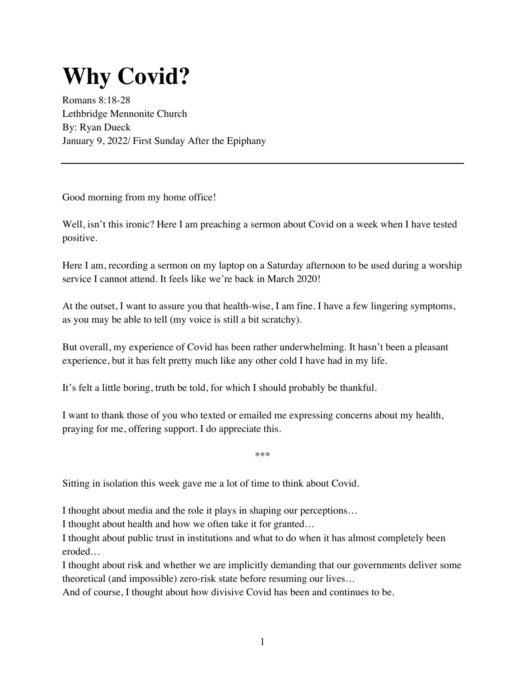## **Why Covid?**

Romans 8:18-28 Lethbridge Mennonite Church By: Ryan Dueck January 9, 2022/ First Sunday After the Epiphany

Good morning from my home office!

Well, isn't this ironic? Here I am preaching a sermon about Covid on a week when I have tested positive.

Here I am, recording a sermon on my laptop on a Saturday afternoon to be used during a worship service I cannot attend. It feels like we're back in March 2020!

At the outset, I want to assure you that health-wise, I am fine. I have a few lingering symptoms, as you may be able to tell (my voice is still a bit scratchy).

But overall, my experience of Covid has been rather underwhelming. It hasn't been a pleasant experience, but it has felt pretty much like any other cold I have had in my life.

It's felt a little boring, truth be told, for which I should probably be thankful.

I want to thank those of you who texted or emailed me expressing concerns about my health, praying for me, offering support. I do appreciate this.

\*\*\*

Sitting in isolation this week gave me a lot of time to think about Covid.

I thought about media and the role it plays in shaping our perceptions…

I thought about health and how we often take it for granted…

I thought about public trust in institutions and what to do when it has almost completely been eroded…

I thought about risk and whether we are implicitly demanding that our governments deliver some theoretical (and impossible) zero-risk state before resuming our lives…

And of course, I thought about how divisive Covid has been and continues to be.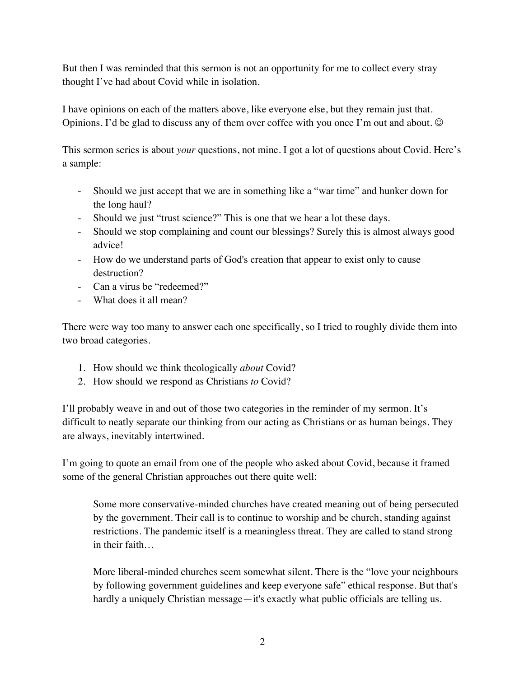But then I was reminded that this sermon is not an opportunity for me to collect every stray thought I've had about Covid while in isolation.

I have opinions on each of the matters above, like everyone else, but they remain just that. Opinions. I'd be glad to discuss any of them over coffee with you once I'm out and about.  $\odot$ 

This sermon series is about *your* questions, not mine. I got a lot of questions about Covid. Here's a sample:

- Should we just accept that we are in something like a "war time" and hunker down for the long haul?
- Should we just "trust science?" This is one that we hear a lot these days.
- Should we stop complaining and count our blessings? Surely this is almost always good advice!
- How do we understand parts of God's creation that appear to exist only to cause destruction?
- Can a virus be "redeemed?"
- What does it all mean?

There were way too many to answer each one specifically, so I tried to roughly divide them into two broad categories.

- 1. How should we think theologically *about* Covid?
- 2. How should we respond as Christians *to* Covid?

I'll probably weave in and out of those two categories in the reminder of my sermon. It's difficult to neatly separate our thinking from our acting as Christians or as human beings. They are always, inevitably intertwined.

I'm going to quote an email from one of the people who asked about Covid, because it framed some of the general Christian approaches out there quite well:

Some more conservative-minded churches have created meaning out of being persecuted by the government. Their call is to continue to worship and be church, standing against restrictions. The pandemic itself is a meaningless threat. They are called to stand strong in their faith…

More liberal-minded churches seem somewhat silent. There is the "love your neighbours by following government guidelines and keep everyone safe" ethical response. But that's hardly a uniquely Christian message—it's exactly what public officials are telling us.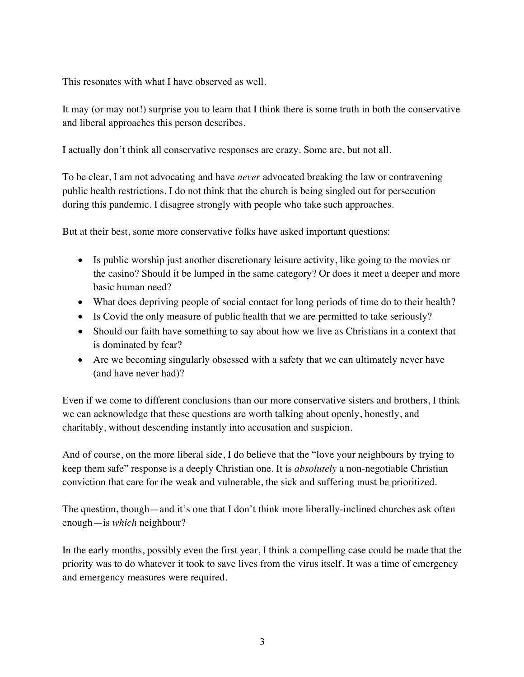This resonates with what I have observed as well.

It may (or may not!) surprise you to learn that I think there is some truth in both the conservative and liberal approaches this person describes.

I actually don't think all conservative responses are crazy. Some are, but not all.

To be clear, I am not advocating and have *never* advocated breaking the law or contravening public health restrictions. I do not think that the church is being singled out for persecution during this pandemic. I disagree strongly with people who take such approaches.

But at their best, some more conservative folks have asked important questions:

- Is public worship just another discretionary leisure activity, like going to the movies or the casino? Should it be lumped in the same category? Or does it meet a deeper and more basic human need?
- What does depriving people of social contact for long periods of time do to their health?
- Is Covid the only measure of public health that we are permitted to take seriously?
- Should our faith have something to say about how we live as Christians in a context that is dominated by fear?
- Are we becoming singularly obsessed with a safety that we can ultimately never have (and have never had)?

Even if we come to different conclusions than our more conservative sisters and brothers, I think we can acknowledge that these questions are worth talking about openly, honestly, and charitably, without descending instantly into accusation and suspicion.

And of course, on the more liberal side, I do believe that the "love your neighbours by trying to keep them safe" response is a deeply Christian one. It is *absolutely* a non-negotiable Christian conviction that care for the weak and vulnerable, the sick and suffering must be prioritized.

The question, though—and it's one that I don't think more liberally-inclined churches ask often enough—is *which* neighbour?

In the early months, possibly even the first year, I think a compelling case could be made that the priority was to do whatever it took to save lives from the virus itself. It was a time of emergency and emergency measures were required.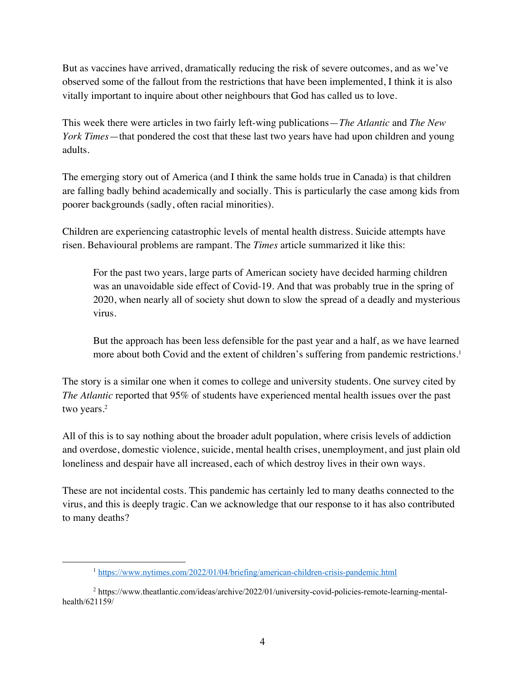But as vaccines have arrived, dramatically reducing the risk of severe outcomes, and as we've observed some of the fallout from the restrictions that have been implemented, I think it is also vitally important to inquire about other neighbours that God has called us to love.

This week there were articles in two fairly left-wing publications—*The Atlantic* and *The New York Times*—that pondered the cost that these last two years have had upon children and young adults.

The emerging story out of America (and I think the same holds true in Canada) is that children are falling badly behind academically and socially. This is particularly the case among kids from poorer backgrounds (sadly, often racial minorities).

Children are experiencing catastrophic levels of mental health distress. Suicide attempts have risen. Behavioural problems are rampant. The *Times* article summarized it like this:

For the past two years, large parts of American society have decided harming children was an unavoidable side effect of Covid-19. And that was probably true in the spring of 2020, when nearly all of society shut down to slow the spread of a deadly and mysterious virus.

But the approach has been less defensible for the past year and a half, as we have learned more about both Covid and the extent of children's suffering from pandemic restrictions.<sup>1</sup>

The story is a similar one when it comes to college and university students. One survey cited by *The Atlantic* reported that 95% of students have experienced mental health issues over the past two years.<sup>2</sup>

All of this is to say nothing about the broader adult population, where crisis levels of addiction and overdose, domestic violence, suicide, mental health crises, unemployment, and just plain old loneliness and despair have all increased, each of which destroy lives in their own ways.

These are not incidental costs. This pandemic has certainly led to many deaths connected to the virus, and this is deeply tragic. Can we acknowledge that our response to it has also contributed to many deaths?

<sup>1</sup> https://www.nytimes.com/2022/01/04/briefing/american-children-crisis-pandemic.html

<sup>2</sup> https://www.theatlantic.com/ideas/archive/2022/01/university-covid-policies-remote-learning-mentalhealth/621159/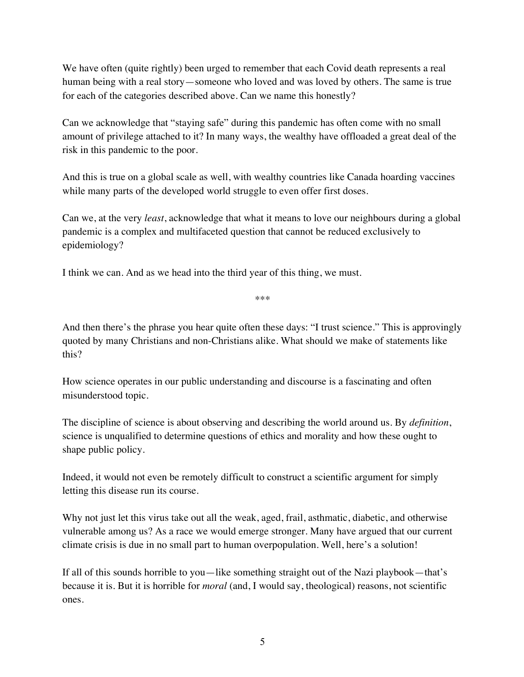We have often (quite rightly) been urged to remember that each Covid death represents a real human being with a real story—someone who loved and was loved by others. The same is true for each of the categories described above. Can we name this honestly?

Can we acknowledge that "staying safe" during this pandemic has often come with no small amount of privilege attached to it? In many ways, the wealthy have offloaded a great deal of the risk in this pandemic to the poor.

And this is true on a global scale as well, with wealthy countries like Canada hoarding vaccines while many parts of the developed world struggle to even offer first doses.

Can we, at the very *least*, acknowledge that what it means to love our neighbours during a global pandemic is a complex and multifaceted question that cannot be reduced exclusively to epidemiology?

I think we can. And as we head into the third year of this thing, we must.

\*\*\*

And then there's the phrase you hear quite often these days: "I trust science." This is approvingly quoted by many Christians and non-Christians alike. What should we make of statements like this?

How science operates in our public understanding and discourse is a fascinating and often misunderstood topic.

The discipline of science is about observing and describing the world around us. By *definition*, science is unqualified to determine questions of ethics and morality and how these ought to shape public policy.

Indeed, it would not even be remotely difficult to construct a scientific argument for simply letting this disease run its course.

Why not just let this virus take out all the weak, aged, frail, asthmatic, diabetic, and otherwise vulnerable among us? As a race we would emerge stronger. Many have argued that our current climate crisis is due in no small part to human overpopulation. Well, here's a solution!

If all of this sounds horrible to you—like something straight out of the Nazi playbook—that's because it is. But it is horrible for *moral* (and, I would say, theological) reasons, not scientific ones.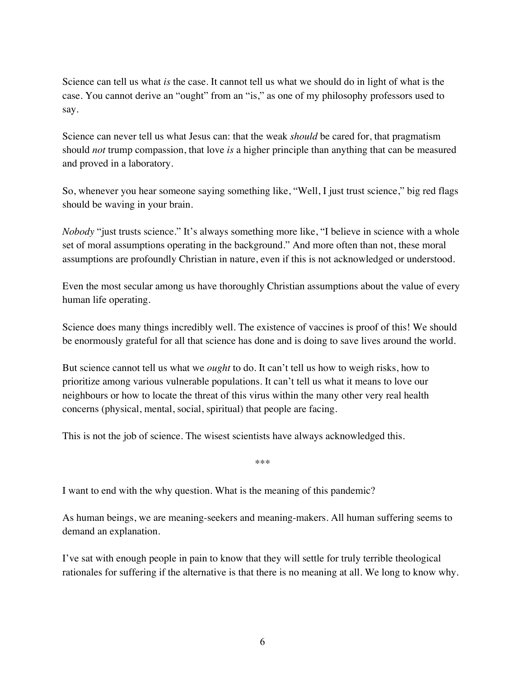Science can tell us what *is* the case. It cannot tell us what we should do in light of what is the case. You cannot derive an "ought" from an "is," as one of my philosophy professors used to say.

Science can never tell us what Jesus can: that the weak *should* be cared for, that pragmatism should *not* trump compassion, that love *is* a higher principle than anything that can be measured and proved in a laboratory.

So, whenever you hear someone saying something like, "Well, I just trust science," big red flags should be waving in your brain.

*Nobody* "just trusts science." It's always something more like, "I believe in science with a whole set of moral assumptions operating in the background." And more often than not, these moral assumptions are profoundly Christian in nature, even if this is not acknowledged or understood.

Even the most secular among us have thoroughly Christian assumptions about the value of every human life operating.

Science does many things incredibly well. The existence of vaccines is proof of this! We should be enormously grateful for all that science has done and is doing to save lives around the world.

But science cannot tell us what we *ought* to do. It can't tell us how to weigh risks, how to prioritize among various vulnerable populations. It can't tell us what it means to love our neighbours or how to locate the threat of this virus within the many other very real health concerns (physical, mental, social, spiritual) that people are facing.

This is not the job of science. The wisest scientists have always acknowledged this.

\*\*\*

I want to end with the why question. What is the meaning of this pandemic?

As human beings, we are meaning-seekers and meaning-makers. All human suffering seems to demand an explanation.

I've sat with enough people in pain to know that they will settle for truly terrible theological rationales for suffering if the alternative is that there is no meaning at all. We long to know why.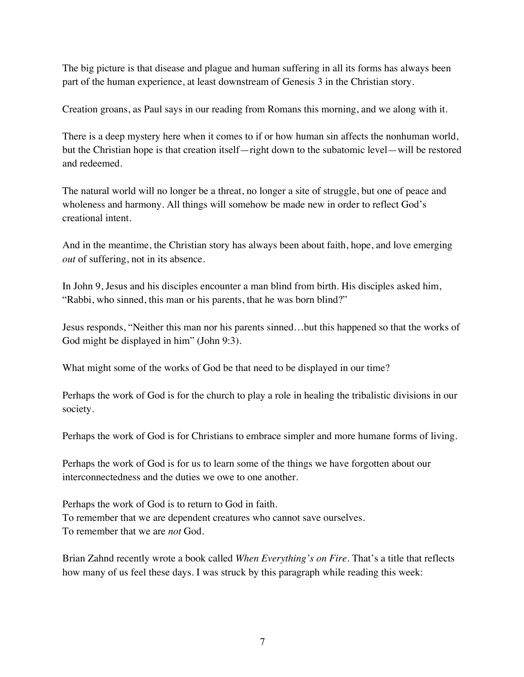The big picture is that disease and plague and human suffering in all its forms has always been part of the human experience, at least downstream of Genesis 3 in the Christian story.

Creation groans, as Paul says in our reading from Romans this morning, and we along with it.

There is a deep mystery here when it comes to if or how human sin affects the nonhuman world, but the Christian hope is that creation itself—right down to the subatomic level—will be restored and redeemed.

The natural world will no longer be a threat, no longer a site of struggle, but one of peace and wholeness and harmony. All things will somehow be made new in order to reflect God's creational intent.

And in the meantime, the Christian story has always been about faith, hope, and love emerging *out* of suffering, not in its absence.

In John 9, Jesus and his disciples encounter a man blind from birth. His disciples asked him, "Rabbi, who sinned, this man or his parents, that he was born blind?"

Jesus responds, "Neither this man nor his parents sinned…but this happened so that the works of God might be displayed in him" (John 9:3).

What might some of the works of God be that need to be displayed in our time?

Perhaps the work of God is for the church to play a role in healing the tribalistic divisions in our society.

Perhaps the work of God is for Christians to embrace simpler and more humane forms of living.

Perhaps the work of God is for us to learn some of the things we have forgotten about our interconnectedness and the duties we owe to one another.

Perhaps the work of God is to return to God in faith. To remember that we are dependent creatures who cannot save ourselves. To remember that we are *not* God.

Brian Zahnd recently wrote a book called *When Everything's on Fire*. That's a title that reflects how many of us feel these days. I was struck by this paragraph while reading this week: